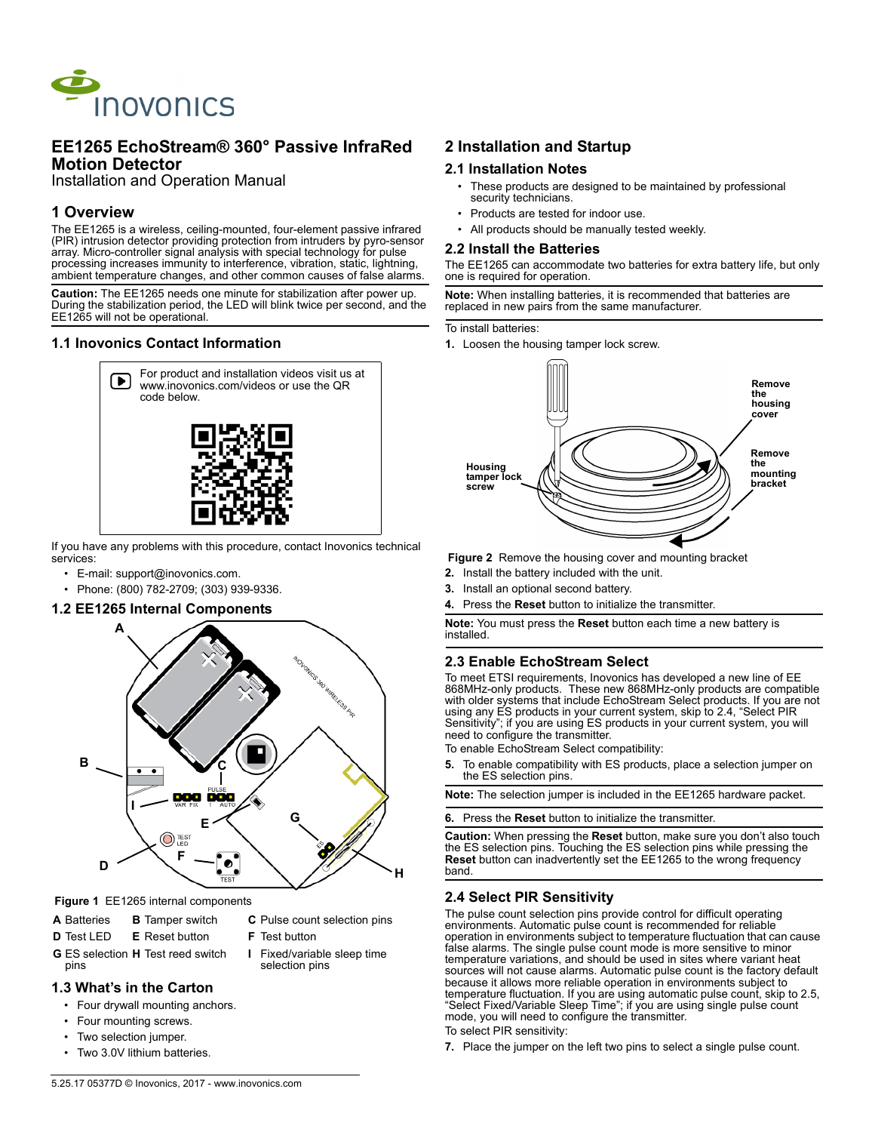

# **EE1265 EchoStream® 360° Passive InfraRed Motion Detector**

Installation and Operation Manual

# **1 Overview**

The EE1265 is a wireless, ceiling-mounted, four-element passive infrared (PIR) intrusion detector providing protection from intruders by pyro-sensor array. Micro-controller signal analysis with special technology for pulse processing increases immunity to interference, vibration, static, lightning, ambient temperature changes, and other common causes of false alarms.

**Caution:** The EE1265 needs one minute for stabilization after power up. During the stabilization period, the LED will blink twice per second, and the EE1265 will not be operational.

## **1.1 Inovonics Contact Information**



If you have any problems with this procedure, contact Inovonics technical services:

- E-mail: support@inovonics.com.
- Phone: (800) 782-2709; (303) 939-9336.

### **1.2 EE1265 Internal Components**



 **Figure 1** EE1265 internal components

- 
- 
- 
- 
- **D** Test LED **E** Reset button **F** Test button
- **G** ES selection **H** Test reed switch pins
- **I** Fixed/variable sleep time selection pins
- **1.3 What's in the Carton**
	- Four drywall mounting anchors.
	- Four mounting screws.
	- Two selection jumper.
	- Two 3.0V lithium batteries.

# **2 Installation and Startup**

### **2.1 Installation Notes**

- These products are designed to be maintained by professional security technicians.
- Products are tested for indoor use.
- All products should be manually tested weekly.

#### **2.2 Install the Batteries**

The EE1265 can accommodate two batteries for extra battery life, but only one is required for operation.

**Note:** When installing batteries, it is recommended that batteries are replaced in new pairs from the same manufacturer.

To install batteries:

**1.** Loosen the housing tamper lock screw.



 **Figure 2** Remove the housing cover and mounting bracket

- **2.** Install the battery included with the unit.
- **3.** Install an optional second battery.
- **4.** Press the **Reset** button to initialize the transmitter.

**Note:** You must press the **Reset** button each time a new battery is installed.

## **2.3 Enable EchoStream Select**

To meet ETSI requirements, Inovonics has developed a new line of EE 868MHz-only products. These new 868MHz-only products are compatible with older systems that include EchoStream Select products. If you are not using any ES products in your current system, skip to 2.4, "Select PIR [Sensitivity"](#page-0-0); if you are using ES products in your current system, you will need to configure the transmitter.

To enable EchoStream Select compatibility:

**5.** To enable compatibility with ES products, place a selection jumper on the ES selection pins.

**Note:** The selection jumper is included in the EE1265 hardware packet.

**6.** Press the **Reset** button to initialize the transmitter.

**Caution:** When pressing the **Reset** button, make sure you don't also touch the ES selection pins. Touching the ES selection pins while pressing the **Reset** button can inadvertently set the EE1265 to the wrong frequency band.

## <span id="page-0-0"></span>**2.4 Select PIR Sensitivity**

The pulse count selection pins provide control for difficult operating environments. Automatic pulse count is recommended for reliable operation in environments subject to temperature fluctuation that can cause false alarms. The single pulse count mode is more sensitive to minor temperature variations, and should be used in sites where variant heat sources will not cause alarms. Automatic pulse count is the factory default because it allows more reliable operation in environments subject to temperature fluctuation. If you are using automatic pulse count, skip to [2.5,](#page-1-0)  ["Select Fixed/Variable Sleep Time"](#page-1-0); if you are using single pulse count mode, you will need to configure the transmitter.

- To select PIR sensitivity:
- **7.** Place the jumper on the left two pins to select a single pulse count.

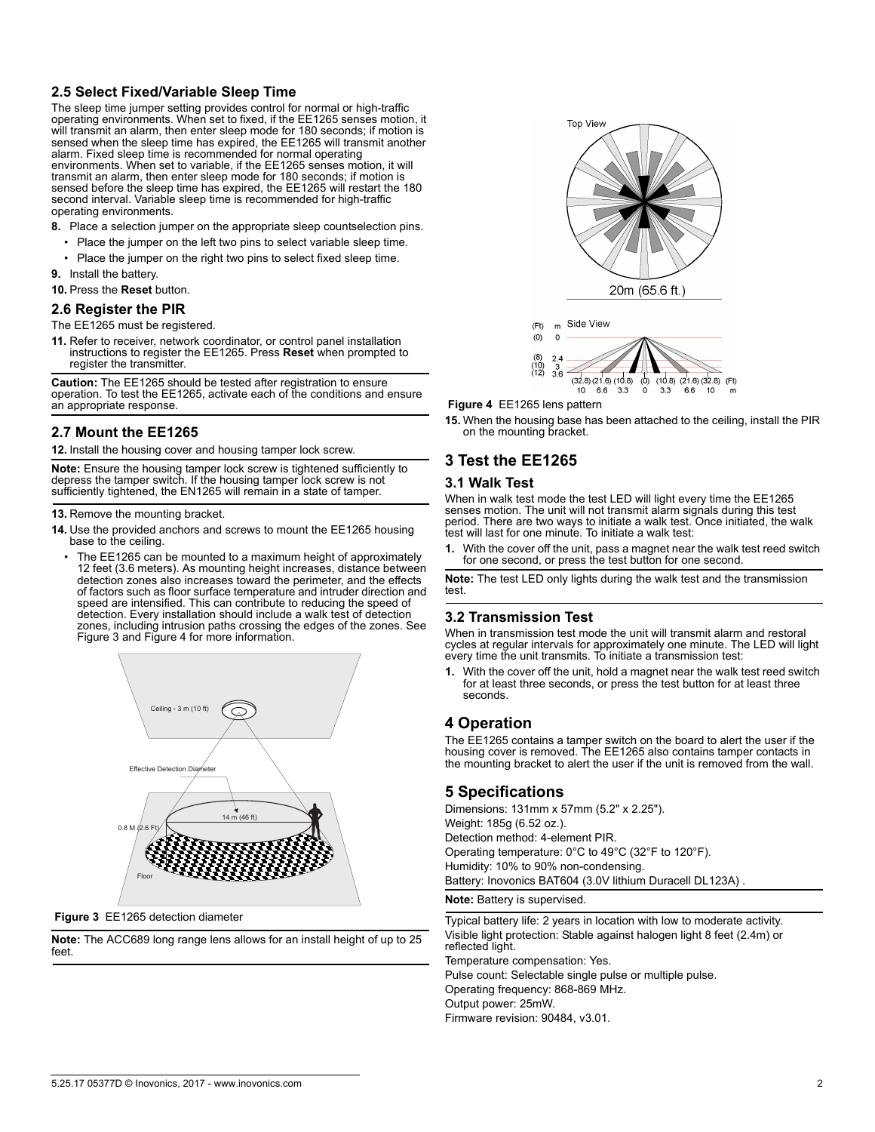### <span id="page-1-0"></span>**2.5 Select Fixed/Variable Sleep Time**

The sleep time jumper setting provides control for normal or high-traffic operating environments. When set to fixed, if the EE1265 senses motion, it will transmit an alarm, then enter sleep mode for 180 seconds; if motion is sensed when the sleep time has expired, the EE1265 will transmit another alarm. Fixed sleep time is recommended for normal operating environments. When set to variable, if the EE1265 senses motion, it will transmit an alarm, then enter sleep mode for 180 seconds; if motion is sensed before the sleep time has expired, the EE1265 will restart the 180 second interval. Variable sleep time is recommended for high-traffic operating environments.

- **8.** Place a selection jumper on the appropriate sleep countselection pins.
- Place the jumper on the left two pins to select variable sleep time.
- Place the jumper on the right two pins to select fixed sleep time.
- **9.** Install the battery.
- **10.** Press the **Reset** button.

#### **2.6 Register the PIR**

The EE1265 must be registered.

**11.** Refer to receiver, network coordinator, or control panel installation instructions to register the EE1265. Press **Reset** when prompted to register the transmitter.

**Caution:** The EE1265 should be tested after registration to ensure operation. To test the EE1265, activate each of the conditions and ensure an appropriate response.

## **2.7 Mount the EE1265**

**12.** Install the housing cover and housing tamper lock screw.

**Note:** Ensure the housing tamper lock screw is tightened sufficiently to depress the tamper switch. If the housing tamper lock screw is not sufficiently tightened, the EN1265 will remain in a state of tamper.

#### **13.** Remove the mounting bracket.

**14.** Use the provided anchors and screws to mount the EE1265 housing base to the ceiling.

• The EE1265 can be mounted to a maximum height of approximately 12 feet (3.6 meters). As mounting height increases, distance between detection zones also increases toward the perimeter, and the effects of factors such as floor surface temperature and intruder direction and speed are intensified. This can contribute to reducing the speed of detection. Every installation should include a walk test of detection zones, including intrusion paths crossing the edges of the zones. See Figure 3 and Figure 4 for more information.



 **Figure 3** EE1265 detection diameter

**Note:** The ACC689 long range lens allows for an install height of up to 25 feet.



 $(8)$  $\binom{10}{12}$  $3.6$  $(32.8)(21.6)(10.8)$  $(0)$   $(10.8)$   $(21.6)$   $(32.8)$   $(Ft)$ 6.6  $3.3$  $\alpha$  $3.3$ 6.6 10  $10$ 

 **Figure 4** EE1265 lens pattern

 $(Ft)$ 

 $(0)$ 

**15.** When the housing base has been attached to the ceiling, install the PIR on the mounting bracket.

# **3 Test the EE1265**

#### **3.1 Walk Test**

When in walk test mode the test LED will light every time the EE1265 senses motion. The unit will not transmit alarm signals during this test period. There are two ways to initiate a walk test. Once initiated, the walk test will last for one minute. To initiate a walk test:

**1.** With the cover off the unit, pass a magnet near the walk test reed switch for one second, or press the test button for one second.

**Note:** The test LED only lights during the walk test and the transmission test.

### **3.2 Transmission Test**

When in transmission test mode the unit will transmit alarm and restoral cycles at regular intervals for approximately one minute. The LED will light every time the unit transmits. To initiate a transmission test:

**1.** With the cover off the unit, hold a magnet near the walk test reed switch for at least three seconds, or press the test button for at least three seconds.

## **4 Operation**

The EE1265 contains a tamper switch on the board to alert the user if the housing cover is removed. The EE1265 also contains tamper contacts in the mounting bracket to alert the user if the unit is removed from the wall.

## **5 Specifications**

Dimensions: 131mm x 57mm (5.2" x 2.25"). Weight: 185g (6.52 oz.). Detection method: 4-element PIR. Operating temperature: 0°C to 49°C (32°F to 120°F). Humidity: 10% to 90% non-condensing. Battery: Inovonics BAT604 (3.0V lithium Duracell DL123A) .

**Note:** Battery is supervised.

Typical battery life: 2 years in location with low to moderate activity. Visible light protection: Stable against halogen light 8 feet (2.4m) or reflected light. Temperature compensation: Yes.

Pulse count: Selectable single pulse or multiple pulse.

Operating frequency: 868-869 MHz.

Output power: 25mW.

Firmware revision: 90484, v3.01.